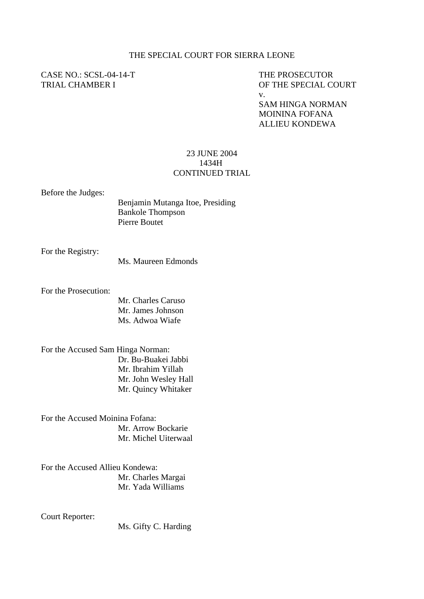## THE SPECIAL COURT FOR SIERRA LEONE

## CASE NO.: SCSL-04-14-T THE PROSECUTOR

TRIAL CHAMBER I OF THE SPECIAL COURT v.

> SAM HINGA NORMAN MOININA FOFANA ALLIEU KONDEWA

## 23 JUNE 2004 1434H CONTINUED TRIAL

Before the Judges:

Benjamin Mutanga Itoe, Presiding Bankole Thompson Pierre Boutet

For the Registry:

Ms. Maureen Edmonds

For the Prosecution:

 Mr. Charles Caruso Mr. James Johnson Ms. Adwoa Wiafe

For the Accused Sam Hinga Norman: Dr. Bu-Buakei Jabbi Mr. Ibrahim Yillah Mr. John Wesley Hall Mr. Quincy Whitaker

For the Accused Moinina Fofana: Mr. Arrow Bockarie Mr. Michel Uiterwaal

For the Accused Allieu Kondewa: Mr. Charles Margai Mr. Yada Williams

Court Reporter:

Ms. Gifty C. Harding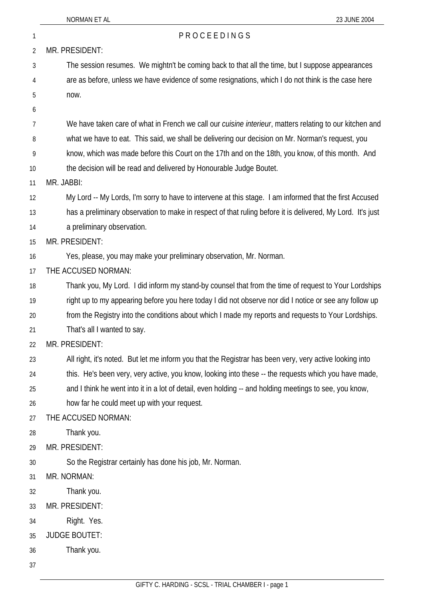| 1  | PROCEEDINGS                                                                                                     |
|----|-----------------------------------------------------------------------------------------------------------------|
| 2  | MR. PRESIDENT:                                                                                                  |
| 3  | The session resumes. We mightn't be coming back to that all the time, but I suppose appearances                 |
| 4  | are as before, unless we have evidence of some resignations, which I do not think is the case here              |
| 5  | now.                                                                                                            |
| 6  |                                                                                                                 |
| 7  | We have taken care of what in French we call our <i>cuisine interieur</i> , matters relating to our kitchen and |
| 8  | what we have to eat. This said, we shall be delivering our decision on Mr. Norman's request, you                |
| 9  | know, which was made before this Court on the 17th and on the 18th, you know, of this month. And                |
| 10 | the decision will be read and delivered by Honourable Judge Boutet.                                             |
| 11 | MR. JABBI:                                                                                                      |
| 12 | My Lord -- My Lords, I'm sorry to have to intervene at this stage. I am informed that the first Accused         |
| 13 | has a preliminary observation to make in respect of that ruling before it is delivered, My Lord. It's just      |
| 14 | a preliminary observation.                                                                                      |
| 15 | MR. PRESIDENT:                                                                                                  |
| 16 | Yes, please, you may make your preliminary observation, Mr. Norman.                                             |
| 17 | THE ACCUSED NORMAN:                                                                                             |
| 18 | Thank you, My Lord. I did inform my stand-by counsel that from the time of request to Your Lordships            |
| 19 | right up to my appearing before you here today I did not observe nor did I notice or see any follow up          |
| 20 | from the Registry into the conditions about which I made my reports and requests to Your Lordships.             |
| 21 | That's all I wanted to say.                                                                                     |
| 22 | MR. PRESIDENT:                                                                                                  |
| 23 | All right, it's noted. But let me inform you that the Registrar has been very, very active looking into         |
| 24 | this. He's been very, very active, you know, looking into these -- the requests which you have made,            |
| 25 | and I think he went into it in a lot of detail, even holding -- and holding meetings to see, you know,          |
| 26 | how far he could meet up with your request.                                                                     |
| 27 | THE ACCUSED NORMAN:                                                                                             |
| 28 | Thank you.                                                                                                      |
| 29 | MR. PRESIDENT:                                                                                                  |
| 30 | So the Registrar certainly has done his job, Mr. Norman.                                                        |
| 31 | MR. NORMAN:                                                                                                     |
| 32 | Thank you.                                                                                                      |
| 33 | MR. PRESIDENT:                                                                                                  |
| 34 | Right. Yes.                                                                                                     |
| 35 | <b>JUDGE BOUTET:</b>                                                                                            |
| 36 | Thank you.                                                                                                      |
| 37 |                                                                                                                 |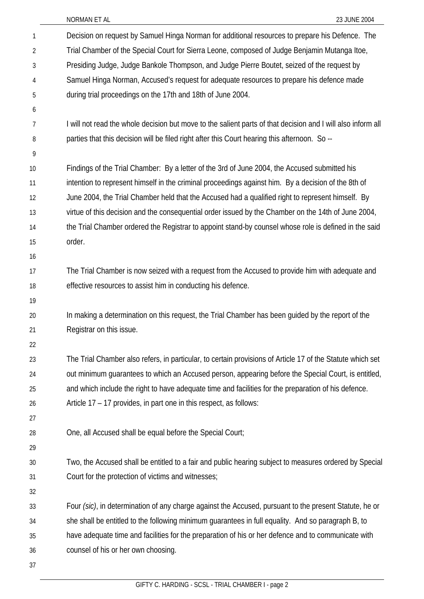| 1  | Decision on request by Samuel Hinga Norman for additional resources to prepare his Defence. The              |
|----|--------------------------------------------------------------------------------------------------------------|
| 2  | Trial Chamber of the Special Court for Sierra Leone, composed of Judge Benjamin Mutanga Itoe,                |
| 3  | Presiding Judge, Judge Bankole Thompson, and Judge Pierre Boutet, seized of the request by                   |
| 4  | Samuel Hinga Norman, Accused's request for adequate resources to prepare his defence made                    |
| 5  | during trial proceedings on the 17th and 18th of June 2004.                                                  |
| 6  |                                                                                                              |
| 7  | I will not read the whole decision but move to the salient parts of that decision and I will also inform all |
| 8  | parties that this decision will be filed right after this Court hearing this afternoon. So --                |
| 9  |                                                                                                              |
| 10 | Findings of the Trial Chamber: By a letter of the 3rd of June 2004, the Accused submitted his                |
| 11 | intention to represent himself in the criminal proceedings against him. By a decision of the 8th of          |
| 12 | June 2004, the Trial Chamber held that the Accused had a qualified right to represent himself. By            |
| 13 | virtue of this decision and the consequential order issued by the Chamber on the 14th of June 2004,          |
| 14 | the Trial Chamber ordered the Registrar to appoint stand-by counsel whose role is defined in the said        |
| 15 | order.                                                                                                       |
| 16 |                                                                                                              |
| 17 | The Trial Chamber is now seized with a request from the Accused to provide him with adequate and             |
| 18 | effective resources to assist him in conducting his defence.                                                 |
| 19 |                                                                                                              |
| 20 | In making a determination on this request, the Trial Chamber has been guided by the report of the            |
| 21 | Registrar on this issue.                                                                                     |
| 22 |                                                                                                              |
| 23 | The Trial Chamber also refers, in particular, to certain provisions of Article 17 of the Statute which set   |
| 24 | out minimum guarantees to which an Accused person, appearing before the Special Court, is entitled,          |
| 25 | and which include the right to have adequate time and facilities for the preparation of his defence.         |
| 26 | Article 17 – 17 provides, in part one in this respect, as follows:                                           |
| 27 |                                                                                                              |
| 28 | One, all Accused shall be equal before the Special Court;                                                    |
| 29 |                                                                                                              |
| 30 | Two, the Accused shall be entitled to a fair and public hearing subject to measures ordered by Special       |
| 31 | Court for the protection of victims and witnesses;                                                           |
| 32 |                                                                                                              |
| 33 | Four (sic), in determination of any charge against the Accused, pursuant to the present Statute, he or       |
| 34 | she shall be entitled to the following minimum guarantees in full equality. And so paragraph B, to           |
| 35 | have adequate time and facilities for the preparation of his or her defence and to communicate with          |
| 36 | counsel of his or her own choosing.                                                                          |
| 37 |                                                                                                              |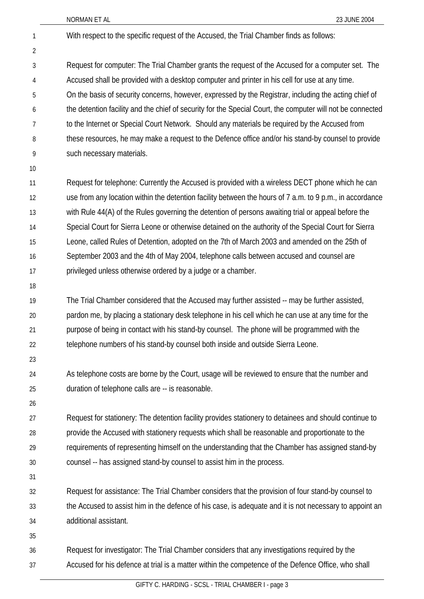With respect to the specific request of the Accused, the Trial Chamber finds as follows:

Request for computer: The Trial Chamber grants the request of the Accused for a computer set. The Accused shall be provided with a desktop computer and printer in his cell for use at any time. On the basis of security concerns, however, expressed by the Registrar, including the acting chief of the detention facility and the chief of security for the Special Court, the computer will not be connected to the Internet or Special Court Network. Should any materials be required by the Accused from these resources, he may make a request to the Defence office and/or his stand-by counsel to provide such necessary materials. 3 4 5 6 7 8 9

10

1

2

Request for telephone: Currently the Accused is provided with a wireless DECT phone which he can use from any location within the detention facility between the hours of 7 a.m. to 9 p.m., in accordance with Rule 44(A) of the Rules governing the detention of persons awaiting trial or appeal before the Special Court for Sierra Leone or otherwise detained on the authority of the Special Court for Sierra Leone, called Rules of Detention, adopted on the 7th of March 2003 and amended on the 25th of September 2003 and the 4th of May 2004, telephone calls between accused and counsel are privileged unless otherwise ordered by a judge or a chamber. 11 12 13 14 15 16 17

18

The Trial Chamber considered that the Accused may further assisted -- may be further assisted, pardon me, by placing a stationary desk telephone in his cell which he can use at any time for the purpose of being in contact with his stand-by counsel. The phone will be programmed with the telephone numbers of his stand-by counsel both inside and outside Sierra Leone. 19 20 21 22

23

As telephone costs are borne by the Court, usage will be reviewed to ensure that the number and duration of telephone calls are -- is reasonable. 24 25

26

Request for stationery: The detention facility provides stationery to detainees and should continue to provide the Accused with stationery requests which shall be reasonable and proportionate to the requirements of representing himself on the understanding that the Chamber has assigned stand-by counsel -- has assigned stand-by counsel to assist him in the process. 27 28 29 30

31

Request for assistance: The Trial Chamber considers that the provision of four stand-by counsel to the Accused to assist him in the defence of his case, is adequate and it is not necessary to appoint an additional assistant. 32 33 34

35

Request for investigator: The Trial Chamber considers that any investigations required by the Accused for his defence at trial is a matter within the competence of the Defence Office, who shall 36 37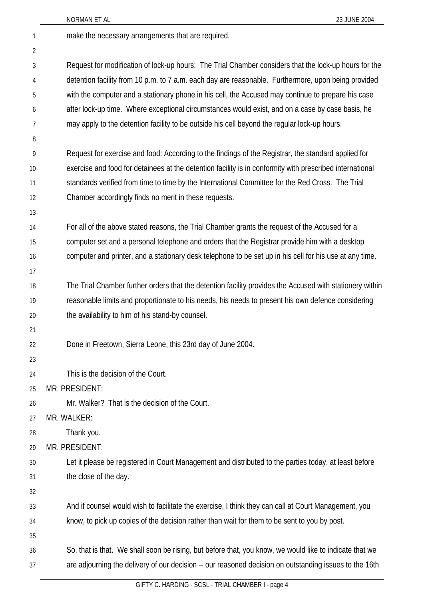|    | 23 JUNE 2004<br>NORMAN ET AL                                                                             |
|----|----------------------------------------------------------------------------------------------------------|
| 1  | make the necessary arrangements that are required.                                                       |
| 2  |                                                                                                          |
| 3  | Request for modification of lock-up hours: The Trial Chamber considers that the lock-up hours for the    |
| 4  | detention facility from 10 p.m. to 7 a.m. each day are reasonable. Furthermore, upon being provided      |
| 5  | with the computer and a stationary phone in his cell, the Accused may continue to prepare his case       |
| 6  | after lock-up time. Where exceptional circumstances would exist, and on a case by case basis, he         |
| 7  | may apply to the detention facility to be outside his cell beyond the regular lock-up hours.             |
| 8  |                                                                                                          |
| 9  | Request for exercise and food: According to the findings of the Registrar, the standard applied for      |
| 10 | exercise and food for detainees at the detention facility is in conformity with prescribed international |
| 11 | standards verified from time to time by the International Committee for the Red Cross. The Trial         |
| 12 | Chamber accordingly finds no merit in these requests.                                                    |
| 13 |                                                                                                          |
| 14 | For all of the above stated reasons, the Trial Chamber grants the request of the Accused for a           |
| 15 | computer set and a personal telephone and orders that the Registrar provide him with a desktop           |
| 16 | computer and printer, and a stationary desk telephone to be set up in his cell for his use at any time.  |
| 17 |                                                                                                          |
| 18 | The Trial Chamber further orders that the detention facility provides the Accused with stationery within |
| 19 | reasonable limits and proportionate to his needs, his needs to present his own defence considering       |
| 20 | the availability to him of his stand-by counsel.                                                         |
| 21 |                                                                                                          |
| 22 | Done in Freetown, Sierra Leone, this 23rd day of June 2004.                                              |
| 23 |                                                                                                          |
| 24 | This is the decision of the Court.                                                                       |
| 25 | MR. PRESIDENT:                                                                                           |
| 26 | Mr. Walker? That is the decision of the Court.                                                           |
| 27 | MR. WALKER:                                                                                              |
| 28 | Thank you.                                                                                               |
| 29 | MR. PRESIDENT:                                                                                           |
| 30 | Let it please be registered in Court Management and distributed to the parties today, at least before    |
| 31 | the close of the day.                                                                                    |
| 32 |                                                                                                          |
| 33 | And if counsel would wish to facilitate the exercise, I think they can call at Court Management, you     |
| 34 | know, to pick up copies of the decision rather than wait for them to be sent to you by post.             |
| 35 |                                                                                                          |
| 36 | So, that is that. We shall soon be rising, but before that, you know, we would like to indicate that we  |
| 37 | are adjourning the delivery of our decision -- our reasoned decision on outstanding issues to the 16th   |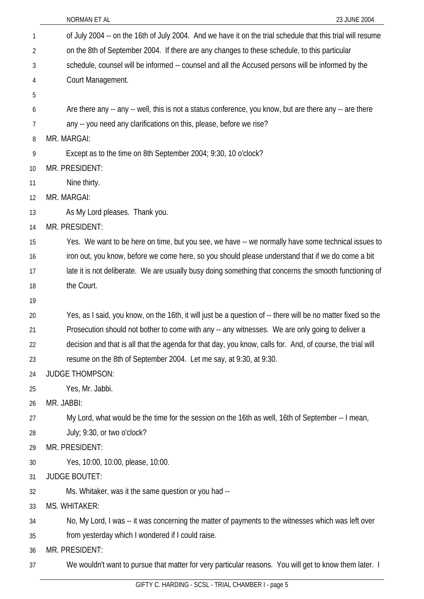|    | 23 JUNE 2004<br>NORMAN ET AL                                                                                 |
|----|--------------------------------------------------------------------------------------------------------------|
| 1  | of July 2004 -- on the 16th of July 2004. And we have it on the trial schedule that this trial will resume   |
| 2  | on the 8th of September 2004. If there are any changes to these schedule, to this particular                 |
| 3  | schedule, counsel will be informed -- counsel and all the Accused persons will be informed by the            |
| 4  | Court Management.                                                                                            |
| 5  |                                                                                                              |
| 6  | Are there any -- any -- well, this is not a status conference, you know, but are there any -- are there      |
| 7  | any -- you need any clarifications on this, please, before we rise?                                          |
| 8  | MR. MARGAI:                                                                                                  |
| 9  | Except as to the time on 8th September 2004; 9:30, 10 o'clock?                                               |
| 10 | MR. PRESIDENT:                                                                                               |
| 11 | Nine thirty.                                                                                                 |
| 12 | MR. MARGAI:                                                                                                  |
| 13 | As My Lord pleases. Thank you.                                                                               |
| 14 | MR. PRESIDENT:                                                                                               |
| 15 | Yes. We want to be here on time, but you see, we have -- we normally have some technical issues to           |
| 16 | iron out, you know, before we come here, so you should please understand that if we do come a bit            |
| 17 | late it is not deliberate. We are usually busy doing something that concerns the smooth functioning of       |
| 18 | the Court.                                                                                                   |
| 19 |                                                                                                              |
| 20 | Yes, as I said, you know, on the 16th, it will just be a question of -- there will be no matter fixed so the |
| 21 | Prosecution should not bother to come with any -- any witnesses. We are only going to deliver a              |
| 22 | decision and that is all that the agenda for that day, you know, calls for. And, of course, the trial will   |
| 23 | resume on the 8th of September 2004. Let me say, at 9:30, at 9:30.                                           |
| 24 | <b>JUDGE THOMPSON:</b>                                                                                       |
| 25 | Yes, Mr. Jabbi.                                                                                              |
| 26 | MR. JABBI:                                                                                                   |
| 27 | My Lord, what would be the time for the session on the 16th as well, 16th of September -- I mean,            |
| 28 | July; 9:30, or two o'clock?                                                                                  |
| 29 | MR. PRESIDENT:                                                                                               |
| 30 | Yes, 10:00, 10:00, please, 10:00.                                                                            |
| 31 | <b>JUDGE BOUTET:</b>                                                                                         |
| 32 | Ms. Whitaker, was it the same question or you had --                                                         |
| 33 | MS. WHITAKER:                                                                                                |
| 34 | No, My Lord, I was -- it was concerning the matter of payments to the witnesses which was left over          |
| 35 | from yesterday which I wondered if I could raise.                                                            |
| 36 | MR. PRESIDENT:                                                                                               |
| 37 | We wouldn't want to pursue that matter for very particular reasons. You will get to know them later. I       |
|    |                                                                                                              |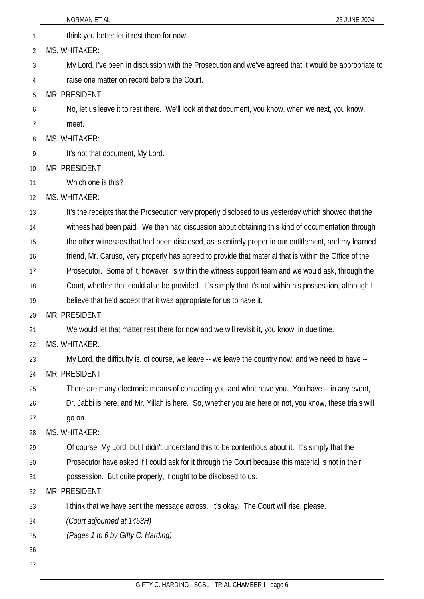|              | 23 JUNE 2004<br>NORMAN ET AL                                                                            |
|--------------|---------------------------------------------------------------------------------------------------------|
| $\mathbf{1}$ | think you better let it rest there for now.                                                             |
| 2            | <b>MS. WHITAKER:</b>                                                                                    |
| 3            | My Lord, I've been in discussion with the Prosecution and we've agreed that it would be appropriate to  |
| 4            | raise one matter on record before the Court.                                                            |
| 5            | MR. PRESIDENT:                                                                                          |
| 6            | No, let us leave it to rest there. We'll look at that document, you know, when we next, you know,       |
| 7            | meet.                                                                                                   |
| 8            | MS. WHITAKER:                                                                                           |
| 9            | It's not that document, My Lord.                                                                        |
| 10           | MR. PRESIDENT:                                                                                          |
| 11           | Which one is this?                                                                                      |
| 12           | MS. WHITAKER:                                                                                           |
| 13           | It's the receipts that the Prosecution very properly disclosed to us yesterday which showed that the    |
| 14           | witness had been paid. We then had discussion about obtaining this kind of documentation through        |
| 15           | the other witnesses that had been disclosed, as is entirely proper in our entitlement, and my learned   |
| 16           | friend, Mr. Caruso, very properly has agreed to provide that material that is within the Office of the  |
| 17           | Prosecutor. Some of it, however, is within the witness support team and we would ask, through the       |
| 18           | Court, whether that could also be provided. It's simply that it's not within his possession, although I |
| 19           | believe that he'd accept that it was appropriate for us to have it.                                     |
| 20           | MR. PRESIDENT:                                                                                          |
| 21           | We would let that matter rest there for now and we will revisit it, you know, in due time.              |
| 22           | MS. WHITAKER:                                                                                           |
| 23           | My Lord, the difficulty is, of course, we leave -- we leave the country now, and we need to have --     |
| 24           | MR. PRESIDENT:                                                                                          |
| 25           | There are many electronic means of contacting you and what have you. You have -- in any event,          |
| 26           | Dr. Jabbi is here, and Mr. Yillah is here. So, whether you are here or not, you know, these trials will |
| 27           | go on.                                                                                                  |
| 28           | MS. WHITAKER:                                                                                           |
| 29           | Of course, My Lord, but I didn't understand this to be contentious about it. It's simply that the       |
| 30           | Prosecutor have asked if I could ask for it through the Court because this material is not in their     |
| 31           | possession. But quite properly, it ought to be disclosed to us.                                         |
| 32           | MR. PRESIDENT:                                                                                          |
| 33           | I think that we have sent the message across. It's okay. The Court will rise, please.                   |
| 34           | (Court adjourned at 1453H)                                                                              |
| 35           | (Pages 1 to 6 by Gifty C. Harding)                                                                      |
| 36           |                                                                                                         |
| 37           |                                                                                                         |